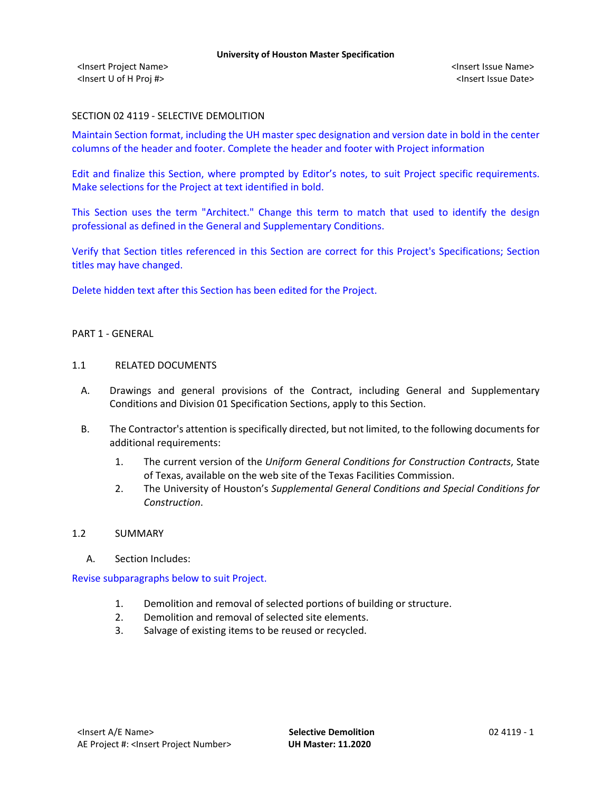# SECTION 02 4119 - SELECTIVE DEMOLITION

Maintain Section format, including the UH master spec designation and version date in bold in the center columns of the header and footer. Complete the header and footer with Project information

Edit and finalize this Section, where prompted by Editor's notes, to suit Project specific requirements. Make selections for the Project at text identified in bold.

This Section uses the term "Architect." Change this term to match that used to identify the design professional as defined in the General and Supplementary Conditions.

Verify that Section titles referenced in this Section are correct for this Project's Specifications; Section titles may have changed.

Delete hidden text after this Section has been edited for the Project.

## PART 1 - GENERAL

### 1.1 RELATED DOCUMENTS

- A. Drawings and general provisions of the Contract, including General and Supplementary Conditions and Division 01 Specification Sections, apply to this Section.
- B. The Contractor's attention is specifically directed, but not limited, to the following documents for additional requirements:
	- 1. The current version of the *Uniform General Conditions for Construction Contracts*, State of Texas, available on the web site of the Texas Facilities Commission.
	- 2. The University of Houston's *Supplemental General Conditions and Special Conditions for Construction*.

## 1.2 SUMMARY

A. Section Includes:

Revise subparagraphs below to suit Project.

- 1. Demolition and removal of selected portions of building or structure.
- 2. Demolition and removal of selected site elements.
- 3. Salvage of existing items to be reused or recycled.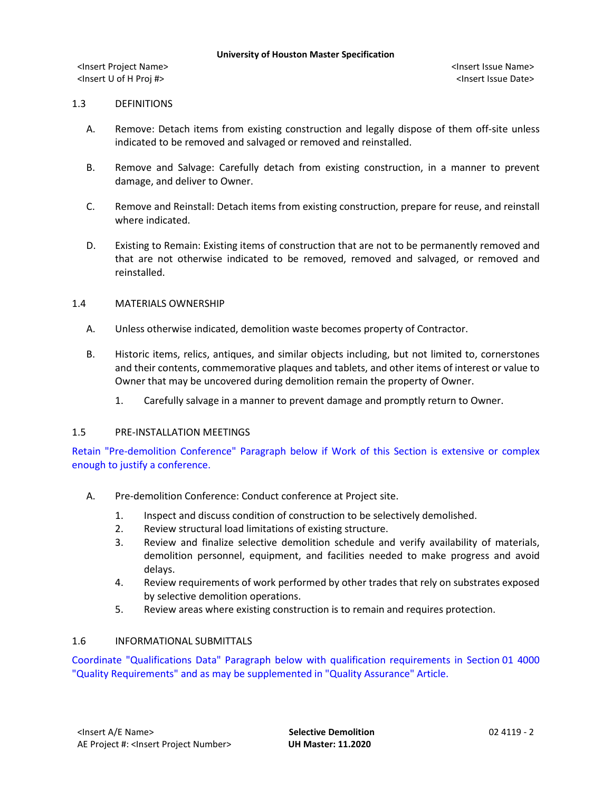# 1.3 DEFINITIONS

- A. Remove: Detach items from existing construction and legally dispose of them off-site unless indicated to be removed and salvaged or removed and reinstalled.
- B. Remove and Salvage: Carefully detach from existing construction, in a manner to prevent damage, and deliver to Owner.
- C. Remove and Reinstall: Detach items from existing construction, prepare for reuse, and reinstall where indicated.
- D. Existing to Remain: Existing items of construction that are not to be permanently removed and that are not otherwise indicated to be removed, removed and salvaged, or removed and reinstalled.

# 1.4 MATERIALS OWNERSHIP

- A. Unless otherwise indicated, demolition waste becomes property of Contractor.
- B. Historic items, relics, antiques, and similar objects including, but not limited to, cornerstones and their contents, commemorative plaques and tablets, and other items of interest or value to Owner that may be uncovered during demolition remain the property of Owner.
	- 1. Carefully salvage in a manner to prevent damage and promptly return to Owner.

## 1.5 PRE-INSTALLATION MEETINGS

Retain "Pre-demolition Conference" Paragraph below if Work of this Section is extensive or complex enough to justify a conference.

- A. Pre-demolition Conference: Conduct conference at Project site.
	- 1. Inspect and discuss condition of construction to be selectively demolished.
	- 2. Review structural load limitations of existing structure.
	- 3. Review and finalize selective demolition schedule and verify availability of materials, demolition personnel, equipment, and facilities needed to make progress and avoid delays.
	- 4. Review requirements of work performed by other trades that rely on substrates exposed by selective demolition operations.
	- 5. Review areas where existing construction is to remain and requires protection.

# 1.6 INFORMATIONAL SUBMITTALS

Coordinate "Qualifications Data" Paragraph below with qualification requirements in Section 01 4000 "Quality Requirements" and as may be supplemented in "Quality Assurance" Article.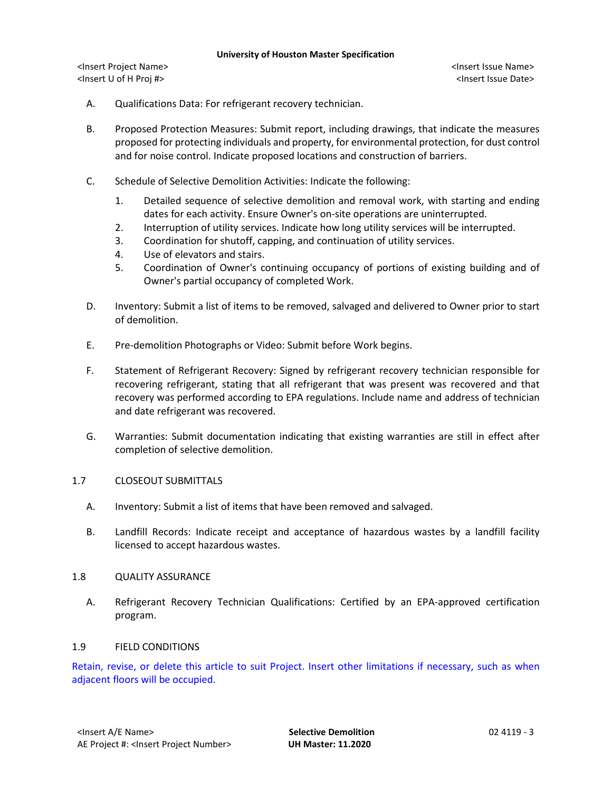- A. Qualifications Data: For refrigerant recovery technician.
- B. Proposed Protection Measures: Submit report, including drawings, that indicate the measures proposed for protecting individuals and property, for environmental protection, for dust control and for noise control. Indicate proposed locations and construction of barriers.
- C. Schedule of Selective Demolition Activities: Indicate the following:
	- 1. Detailed sequence of selective demolition and removal work, with starting and ending dates for each activity. Ensure Owner's on-site operations are uninterrupted.
	- 2. Interruption of utility services. Indicate how long utility services will be interrupted.
	- 3. Coordination for shutoff, capping, and continuation of utility services.
	- 4. Use of elevators and stairs.
	- 5. Coordination of Owner's continuing occupancy of portions of existing building and of Owner's partial occupancy of completed Work.
- D. Inventory: Submit a list of items to be removed, salvaged and delivered to Owner prior to start of demolition.
- E. Pre-demolition Photographs or Video: Submit before Work begins.
- F. Statement of Refrigerant Recovery: Signed by refrigerant recovery technician responsible for recovering refrigerant, stating that all refrigerant that was present was recovered and that recovery was performed according to EPA regulations. Include name and address of technician and date refrigerant was recovered.
- G. Warranties: Submit documentation indicating that existing warranties are still in effect after completion of selective demolition.

## 1.7 CLOSEOUT SUBMITTALS

- A. Inventory: Submit a list of items that have been removed and salvaged.
- B. Landfill Records: Indicate receipt and acceptance of hazardous wastes by a landfill facility licensed to accept hazardous wastes.

## 1.8 QUALITY ASSURANCE

A. Refrigerant Recovery Technician Qualifications: Certified by an EPA-approved certification program.

## 1.9 FIELD CONDITIONS

Retain, revise, or delete this article to suit Project. Insert other limitations if necessary, such as when adjacent floors will be occupied.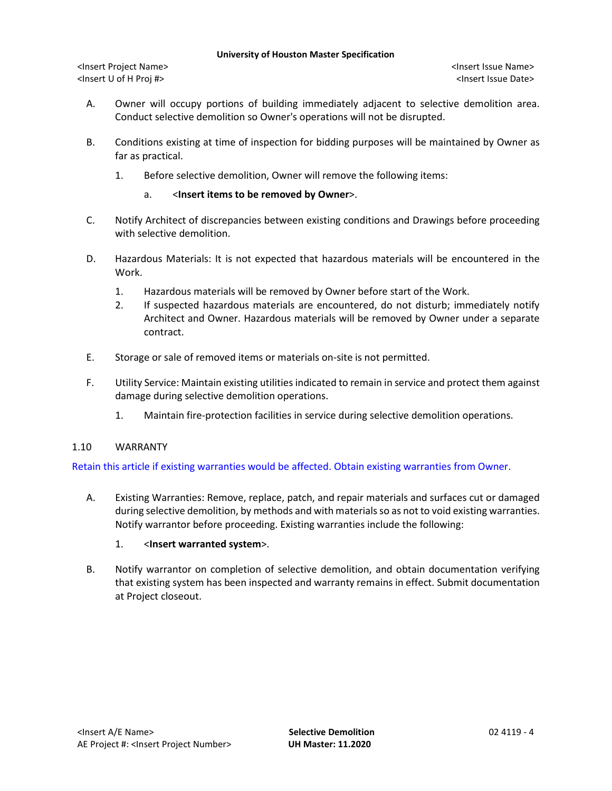<Insert Project Name> <Insert Issue Name> <Insert U of H Proj #> <Insert Issue Date>

- A. Owner will occupy portions of building immediately adjacent to selective demolition area. Conduct selective demolition so Owner's operations will not be disrupted.
- B. Conditions existing at time of inspection for bidding purposes will be maintained by Owner as far as practical.
	- 1. Before selective demolition, Owner will remove the following items:

# a. <**Insert items to be removed by Owner**>.

- C. Notify Architect of discrepancies between existing conditions and Drawings before proceeding with selective demolition.
- D. Hazardous Materials: It is not expected that hazardous materials will be encountered in the Work.
	- 1. Hazardous materials will be removed by Owner before start of the Work.
	- 2. If suspected hazardous materials are encountered, do not disturb; immediately notify Architect and Owner. Hazardous materials will be removed by Owner under a separate contract.
- E. Storage or sale of removed items or materials on-site is not permitted.
- F. Utility Service: Maintain existing utilities indicated to remain in service and protect them against damage during selective demolition operations.
	- 1. Maintain fire-protection facilities in service during selective demolition operations.
- 1.10 WARRANTY

Retain this article if existing warranties would be affected. Obtain existing warranties from Owner.

A. Existing Warranties: Remove, replace, patch, and repair materials and surfaces cut or damaged during selective demolition, by methods and with materials so as not to void existing warranties. Notify warrantor before proceeding. Existing warranties include the following:

# 1. <**Insert warranted system**>.

B. Notify warrantor on completion of selective demolition, and obtain documentation verifying that existing system has been inspected and warranty remains in effect. Submit documentation at Project closeout.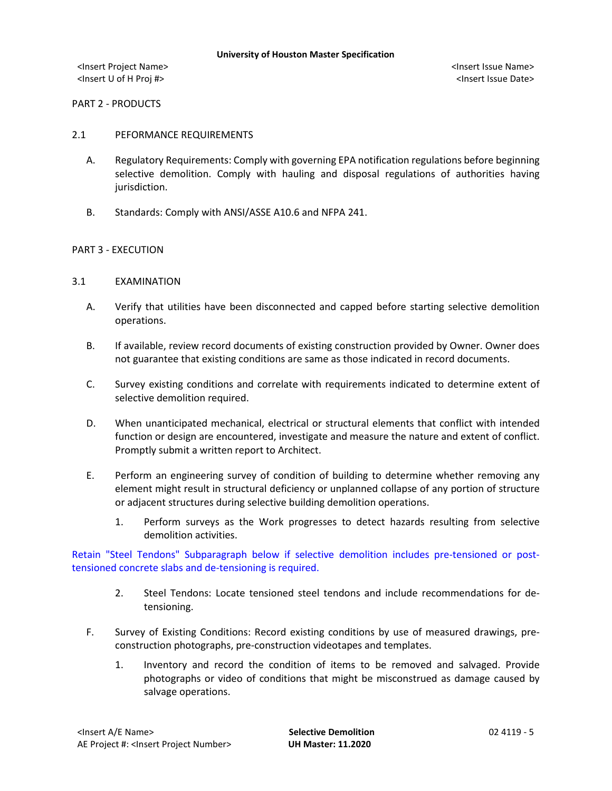# PART 2 - PRODUCTS

# 2.1 PEFORMANCE REQUIREMENTS

- A. Regulatory Requirements: Comply with governing EPA notification regulations before beginning selective demolition. Comply with hauling and disposal regulations of authorities having jurisdiction.
- B. Standards: Comply with ANSI/ASSE A10.6 and NFPA 241.

## PART 3 - EXECUTION

- 3.1 EXAMINATION
	- A. Verify that utilities have been disconnected and capped before starting selective demolition operations.
	- B. If available, review record documents of existing construction provided by Owner. Owner does not guarantee that existing conditions are same as those indicated in record documents.
	- C. Survey existing conditions and correlate with requirements indicated to determine extent of selective demolition required.
	- D. When unanticipated mechanical, electrical or structural elements that conflict with intended function or design are encountered, investigate and measure the nature and extent of conflict. Promptly submit a written report to Architect.
	- E. Perform an engineering survey of condition of building to determine whether removing any element might result in structural deficiency or unplanned collapse of any portion of structure or adjacent structures during selective building demolition operations.
		- 1. Perform surveys as the Work progresses to detect hazards resulting from selective demolition activities.

Retain "Steel Tendons" Subparagraph below if selective demolition includes pre-tensioned or posttensioned concrete slabs and de-tensioning is required.

- 2. Steel Tendons: Locate tensioned steel tendons and include recommendations for detensioning.
- F. Survey of Existing Conditions: Record existing conditions by use of measured drawings, preconstruction photographs, pre-construction videotapes and templates.
	- 1. Inventory and record the condition of items to be removed and salvaged. Provide photographs or video of conditions that might be misconstrued as damage caused by salvage operations.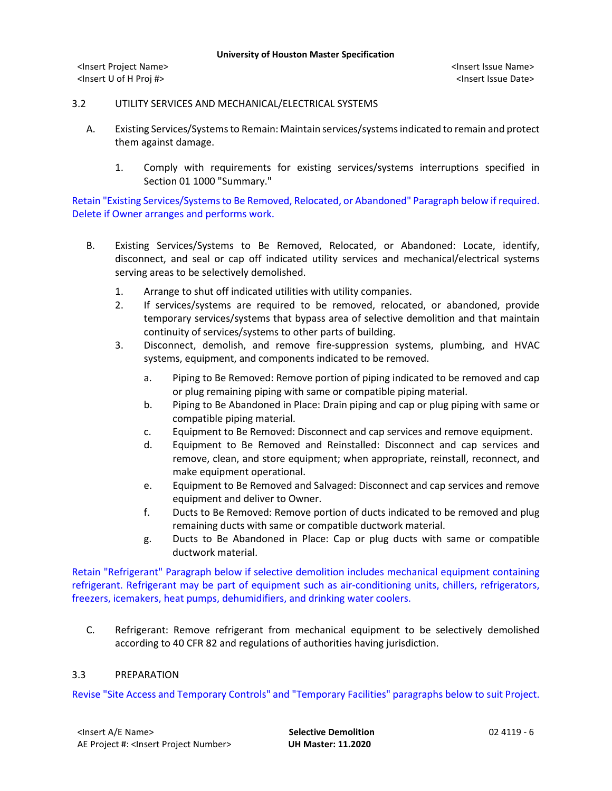# 3.2 UTILITY SERVICES AND MECHANICAL/ELECTRICAL SYSTEMS

- A. Existing Services/Systems to Remain: Maintain services/systems indicated to remain and protect them against damage.
	- 1. Comply with requirements for existing services/systems interruptions specified in Section 01 1000 "Summary."

Retain "Existing Services/Systems to Be Removed, Relocated, or Abandoned" Paragraph below if required. Delete if Owner arranges and performs work.

- B. Existing Services/Systems to Be Removed, Relocated, or Abandoned: Locate, identify, disconnect, and seal or cap off indicated utility services and mechanical/electrical systems serving areas to be selectively demolished.
	- 1. Arrange to shut off indicated utilities with utility companies.
	- 2. If services/systems are required to be removed, relocated, or abandoned, provide temporary services/systems that bypass area of selective demolition and that maintain continuity of services/systems to other parts of building.
	- 3. Disconnect, demolish, and remove fire-suppression systems, plumbing, and HVAC systems, equipment, and components indicated to be removed.
		- a. Piping to Be Removed: Remove portion of piping indicated to be removed and cap or plug remaining piping with same or compatible piping material.
		- b. Piping to Be Abandoned in Place: Drain piping and cap or plug piping with same or compatible piping material.
		- c. Equipment to Be Removed: Disconnect and cap services and remove equipment.
		- d. Equipment to Be Removed and Reinstalled: Disconnect and cap services and remove, clean, and store equipment; when appropriate, reinstall, reconnect, and make equipment operational.
		- e. Equipment to Be Removed and Salvaged: Disconnect and cap services and remove equipment and deliver to Owner.
		- f. Ducts to Be Removed: Remove portion of ducts indicated to be removed and plug remaining ducts with same or compatible ductwork material.
		- g. Ducts to Be Abandoned in Place: Cap or plug ducts with same or compatible ductwork material.

Retain "Refrigerant" Paragraph below if selective demolition includes mechanical equipment containing refrigerant. Refrigerant may be part of equipment such as air-conditioning units, chillers, refrigerators, freezers, icemakers, heat pumps, dehumidifiers, and drinking water coolers.

C. Refrigerant: Remove refrigerant from mechanical equipment to be selectively demolished according to 40 CFR 82 and regulations of authorities having jurisdiction.

# 3.3 PREPARATION

Revise "Site Access and Temporary Controls" and "Temporary Facilities" paragraphs below to suit Project.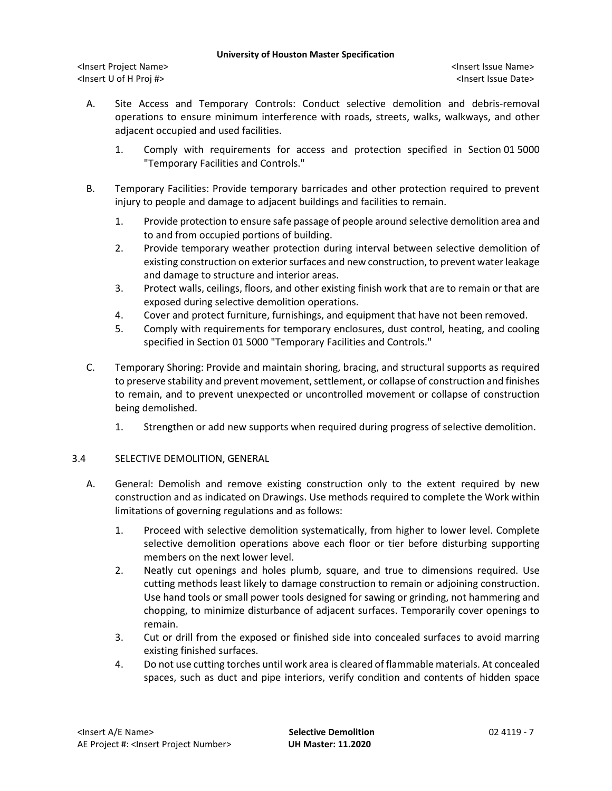<Insert Project Name> <Insert Issue Name> <Insert U of H Proj #> <Insert Issue Date>

- A. Site Access and Temporary Controls: Conduct selective demolition and debris-removal operations to ensure minimum interference with roads, streets, walks, walkways, and other adjacent occupied and used facilities.
	- 1. Comply with requirements for access and protection specified in Section 01 5000 "Temporary Facilities and Controls."
- B. Temporary Facilities: Provide temporary barricades and other protection required to prevent injury to people and damage to adjacent buildings and facilities to remain.
	- 1. Provide protection to ensure safe passage of people around selective demolition area and to and from occupied portions of building.
	- 2. Provide temporary weather protection during interval between selective demolition of existing construction on exterior surfaces and new construction, to prevent water leakage and damage to structure and interior areas.
	- 3. Protect walls, ceilings, floors, and other existing finish work that are to remain or that are exposed during selective demolition operations.
	- 4. Cover and protect furniture, furnishings, and equipment that have not been removed.
	- 5. Comply with requirements for temporary enclosures, dust control, heating, and cooling specified in Section 01 5000 "Temporary Facilities and Controls."
- C. Temporary Shoring: Provide and maintain shoring, bracing, and structural supports as required to preserve stability and prevent movement, settlement, or collapse of construction and finishes to remain, and to prevent unexpected or uncontrolled movement or collapse of construction being demolished.
	- 1. Strengthen or add new supports when required during progress of selective demolition.

# 3.4 SELECTIVE DEMOLITION, GENERAL

- A. General: Demolish and remove existing construction only to the extent required by new construction and as indicated on Drawings. Use methods required to complete the Work within limitations of governing regulations and as follows:
	- 1. Proceed with selective demolition systematically, from higher to lower level. Complete selective demolition operations above each floor or tier before disturbing supporting members on the next lower level.
	- 2. Neatly cut openings and holes plumb, square, and true to dimensions required. Use cutting methods least likely to damage construction to remain or adjoining construction. Use hand tools or small power tools designed for sawing or grinding, not hammering and chopping, to minimize disturbance of adjacent surfaces. Temporarily cover openings to remain.
	- 3. Cut or drill from the exposed or finished side into concealed surfaces to avoid marring existing finished surfaces.
	- 4. Do not use cutting torches until work area is cleared of flammable materials. At concealed spaces, such as duct and pipe interiors, verify condition and contents of hidden space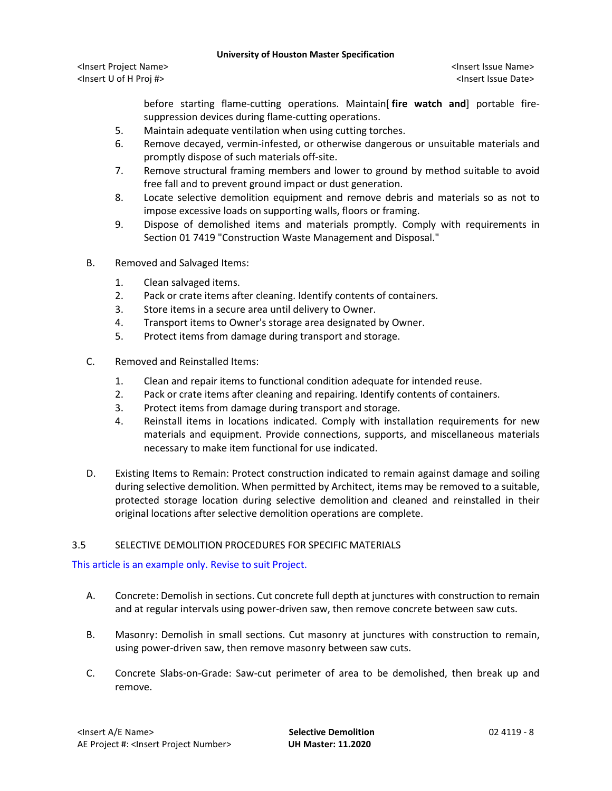<Insert Project Name> <Insert Issue Name> <Insert U of H Proj #> <Insert Issue Date>

before starting flame-cutting operations. Maintain[ **fire watch and**] portable firesuppression devices during flame-cutting operations.

- 5. Maintain adequate ventilation when using cutting torches.
- 6. Remove decayed, vermin-infested, or otherwise dangerous or unsuitable materials and promptly dispose of such materials off-site.
- 7. Remove structural framing members and lower to ground by method suitable to avoid free fall and to prevent ground impact or dust generation.
- 8. Locate selective demolition equipment and remove debris and materials so as not to impose excessive loads on supporting walls, floors or framing.
- 9. Dispose of demolished items and materials promptly. Comply with requirements in Section 01 7419 "Construction Waste Management and Disposal."
- B. Removed and Salvaged Items:
	- 1. Clean salvaged items.
	- 2. Pack or crate items after cleaning. Identify contents of containers.
	- 3. Store items in a secure area until delivery to Owner.
	- 4. Transport items to Owner's storage area designated by Owner.
	- 5. Protect items from damage during transport and storage.
- C. Removed and Reinstalled Items:
	- 1. Clean and repair items to functional condition adequate for intended reuse.
	- 2. Pack or crate items after cleaning and repairing. Identify contents of containers.
	- 3. Protect items from damage during transport and storage.
	- 4. Reinstall items in locations indicated. Comply with installation requirements for new materials and equipment. Provide connections, supports, and miscellaneous materials necessary to make item functional for use indicated.
- D. Existing Items to Remain: Protect construction indicated to remain against damage and soiling during selective demolition. When permitted by Architect, items may be removed to a suitable, protected storage location during selective demolition and cleaned and reinstalled in their original locations after selective demolition operations are complete.

## 3.5 SELECTIVE DEMOLITION PROCEDURES FOR SPECIFIC MATERIALS

This article is an example only. Revise to suit Project.

- A. Concrete: Demolish in sections. Cut concrete full depth at junctures with construction to remain and at regular intervals using power-driven saw, then remove concrete between saw cuts.
- B. Masonry: Demolish in small sections. Cut masonry at junctures with construction to remain, using power-driven saw, then remove masonry between saw cuts.
- C. Concrete Slabs-on-Grade: Saw-cut perimeter of area to be demolished, then break up and remove.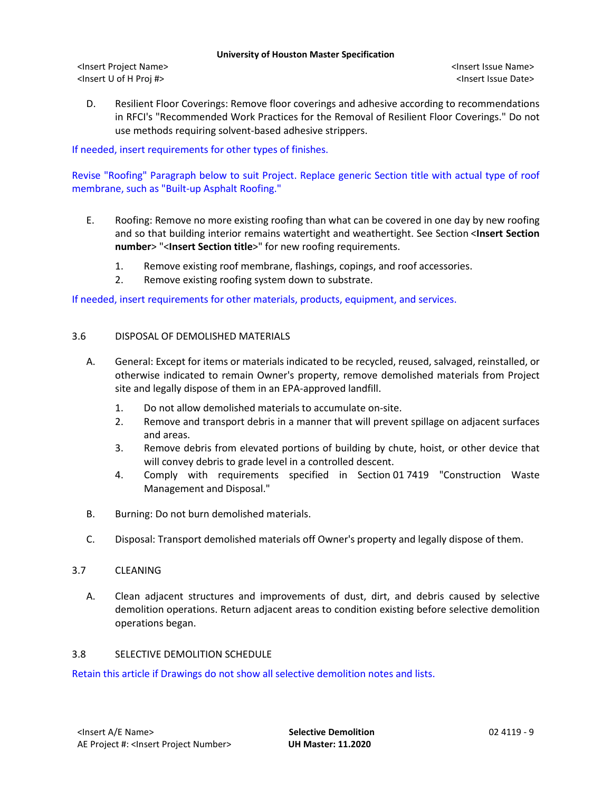<Insert Project Name> <Insert Issue Name> <Insert U of H Proj #> <Insert Issue Date>

D. Resilient Floor Coverings: Remove floor coverings and adhesive according to recommendations in RFCI's "Recommended Work Practices for the Removal of Resilient Floor Coverings." Do not use methods requiring solvent-based adhesive strippers.

If needed, insert requirements for other types of finishes.

Revise "Roofing" Paragraph below to suit Project. Replace generic Section title with actual type of roof membrane, such as "Built-up Asphalt Roofing."

- E. Roofing: Remove no more existing roofing than what can be covered in one day by new roofing and so that building interior remains watertight and weathertight. See Section <**Insert Section number**> "<**Insert Section title**>" for new roofing requirements.
	- 1. Remove existing roof membrane, flashings, copings, and roof accessories.
	- 2. Remove existing roofing system down to substrate.

If needed, insert requirements for other materials, products, equipment, and services.

## 3.6 DISPOSAL OF DEMOLISHED MATERIALS

- A. General: Except for items or materials indicated to be recycled, reused, salvaged, reinstalled, or otherwise indicated to remain Owner's property, remove demolished materials from Project site and legally dispose of them in an EPA-approved landfill.
	- 1. Do not allow demolished materials to accumulate on-site.
	- 2. Remove and transport debris in a manner that will prevent spillage on adjacent surfaces and areas.
	- 3. Remove debris from elevated portions of building by chute, hoist, or other device that will convey debris to grade level in a controlled descent.
	- 4. Comply with requirements specified in Section 01 7419 "Construction Waste Management and Disposal."
- B. Burning: Do not burn demolished materials.
- C. Disposal: Transport demolished materials off Owner's property and legally dispose of them.

# 3.7 CLEANING

A. Clean adjacent structures and improvements of dust, dirt, and debris caused by selective demolition operations. Return adjacent areas to condition existing before selective demolition operations began.

## 3.8 SELECTIVE DEMOLITION SCHEDULE

Retain this article if Drawings do not show all selective demolition notes and lists.